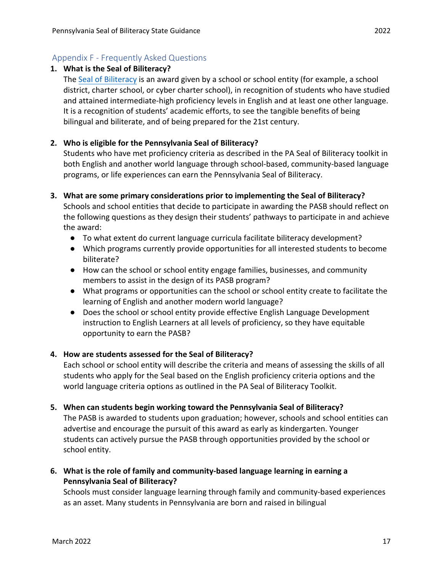# Appendix F - Frequently Asked Questions

### **1. What is the Seal of Biliteracy?**

The [Seal of Biliteracy](https://sealofbiliteracy.org/index.php) is an award given by a school or school entity (for example, a school district, charter school, or cyber charter school), in recognition of students who have studied and attained intermediate-high proficiency levels in English and at least one other language. It is a recognition of students' academic efforts, to see the tangible benefits of being bilingual and biliterate, and of being prepared for the 21st century.

# **2. Who is eligible for the Pennsylvania Seal of Biliteracy?**

Students who have met proficiency criteria as described in the PA Seal of Biliteracy toolkit in both English and another world language through school-based, community-based language programs, or life experiences can earn the Pennsylvania Seal of Biliteracy.

**3. What are some primary considerations prior to implementing the Seal of Biliteracy?**

Schools and school entities that decide to participate in awarding the PASB should reflect on the following questions as they design their students' pathways to participate in and achieve the award:

- To what extent do current language curricula facilitate biliteracy development?
- Which programs currently provide opportunities for all interested students to become biliterate?
- How can the school or school entity engage families, businesses, and community members to assist in the design of its PASB program?
- What programs or opportunities can the school or school entity create to facilitate the learning of English and another modern world language?
- Does the school or school entity provide effective English Language Development instruction to English Learners at all levels of proficiency, so they have equitable opportunity to earn the PASB?

#### **4. How are students assessed for the Seal of Biliteracy?**

Each school or school entity will describe the criteria and means of assessing the skills of all students who apply for the Seal based on the English proficiency criteria options and the world language criteria options as outlined in the PA Seal of Biliteracy Toolkit.

**5. When can students begin working toward the Pennsylvania Seal of Biliteracy?**

The PASB is awarded to students upon graduation; however, schools and school entities can advertise and encourage the pursuit of this award as early as kindergarten. Younger students can actively pursue the PASB through opportunities provided by the school or school entity.

**6. What is the role of family and community-based language learning in earning a Pennsylvania Seal of Biliteracy?**

Schools must consider language learning through family and community-based experiences as an asset. Many students in Pennsylvania are born and raised in bilingual